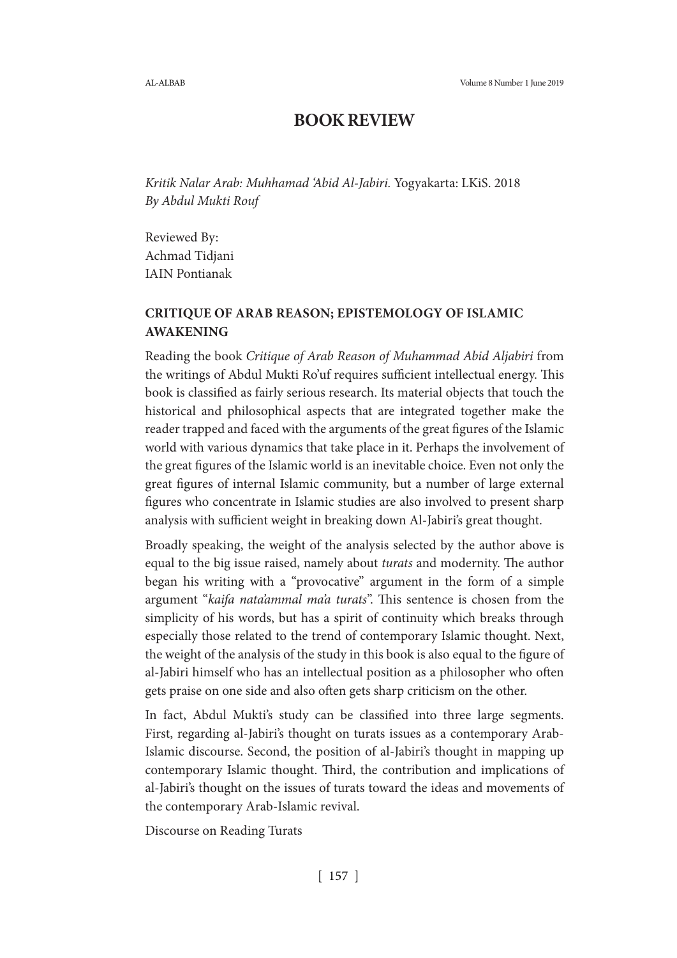# **BOOK REVIEW**

*Kritik Nalar Arab: Muhhamad 'Abid Al-Jabiri.* Yogyakarta: LKiS. 2018 *By Abdul Mukti Rouf*

Reviewed By: Achmad Tidjani IAIN Pontianak

## **CRITIQUE OF ARAB REASON; EPISTEMOLOGY OF ISLAMIC AWAKENING**

Reading the book *Critique of Arab Reason of Muhammad Abid Aljabiri* from the writings of Abdul Mukti Ro'uf requires sufficient intellectual energy. This book is classified as fairly serious research. Its material objects that touch the historical and philosophical aspects that are integrated together make the reader trapped and faced with the arguments of the great figures of the Islamic world with various dynamics that take place in it. Perhaps the involvement of the great figures of the Islamic world is an inevitable choice. Even not only the great figures of internal Islamic community, but a number of large external figures who concentrate in Islamic studies are also involved to present sharp analysis with sufficient weight in breaking down Al-Jabiri's great thought.

Broadly speaking, the weight of the analysis selected by the author above is equal to the big issue raised, namely about *turats* and modernity. The author began his writing with a "provocative" argument in the form of a simple argument "*kaifa nata'ammal ma'a turats*". This sentence is chosen from the simplicity of his words, but has a spirit of continuity which breaks through especially those related to the trend of contemporary Islamic thought. Next, the weight of the analysis of the study in this book is also equal to the figure of al-Jabiri himself who has an intellectual position as a philosopher who often gets praise on one side and also often gets sharp criticism on the other.

In fact, Abdul Mukti's study can be classified into three large segments. First, regarding al-Jabiri's thought on turats issues as a contemporary Arab-Islamic discourse. Second, the position of al-Jabiri's thought in mapping up contemporary Islamic thought. Third, the contribution and implications of al-Jabiri's thought on the issues of turats toward the ideas and movements of the contemporary Arab-Islamic revival.

Discourse on Reading Turats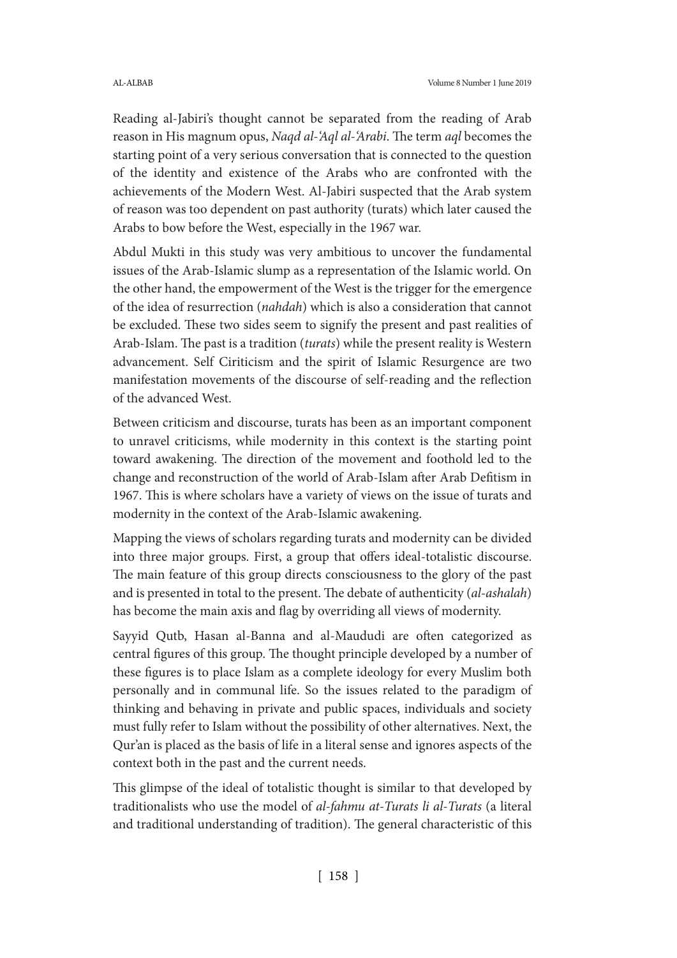Reading al-Jabiri's thought cannot be separated from the reading of Arab reason in His magnum opus, *Naqd al-'Aql al-'Arabi*. The term *aql* becomes the starting point of a very serious conversation that is connected to the question of the identity and existence of the Arabs who are confronted with the achievements of the Modern West. Al-Jabiri suspected that the Arab system of reason was too dependent on past authority (turats) which later caused the Arabs to bow before the West, especially in the 1967 war.

Abdul Mukti in this study was very ambitious to uncover the fundamental issues of the Arab-Islamic slump as a representation of the Islamic world. On the other hand, the empowerment of the West is the trigger for the emergence of the idea of resurrection (*nahdah*) which is also a consideration that cannot be excluded. These two sides seem to signify the present and past realities of Arab-Islam. The past is a tradition (*turats*) while the present reality is Western advancement. Self Ciriticism and the spirit of Islamic Resurgence are two manifestation movements of the discourse of self-reading and the reflection of the advanced West.

Between criticism and discourse, turats has been as an important component to unravel criticisms, while modernity in this context is the starting point toward awakening. The direction of the movement and foothold led to the change and reconstruction of the world of Arab-Islam after Arab Defitism in 1967. This is where scholars have a variety of views on the issue of turats and modernity in the context of the Arab-Islamic awakening.

Mapping the views of scholars regarding turats and modernity can be divided into three major groups. First, a group that offers ideal-totalistic discourse. The main feature of this group directs consciousness to the glory of the past and is presented in total to the present. The debate of authenticity (*al-ashalah*) has become the main axis and flag by overriding all views of modernity.

Sayyid Qutb, Hasan al-Banna and al-Maududi are often categorized as central figures of this group. The thought principle developed by a number of these figures is to place Islam as a complete ideology for every Muslim both personally and in communal life. So the issues related to the paradigm of thinking and behaving in private and public spaces, individuals and society must fully refer to Islam without the possibility of other alternatives. Next, the Qur'an is placed as the basis of life in a literal sense and ignores aspects of the context both in the past and the current needs.

This glimpse of the ideal of totalistic thought is similar to that developed by traditionalists who use the model of *al-fahmu at-Turats li al-Turats* (a literal and traditional understanding of tradition). The general characteristic of this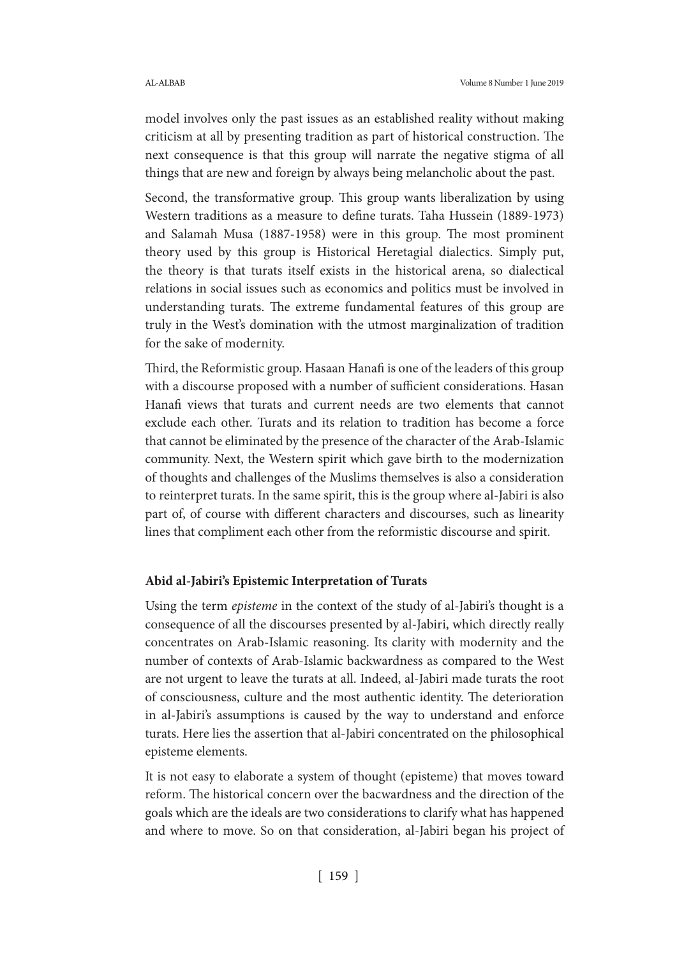model involves only the past issues as an established reality without making criticism at all by presenting tradition as part of historical construction. The next consequence is that this group will narrate the negative stigma of all things that are new and foreign by always being melancholic about the past.

Second, the transformative group. This group wants liberalization by using Western traditions as a measure to define turats. Taha Hussein (1889-1973) and Salamah Musa (1887-1958) were in this group. The most prominent theory used by this group is Historical Heretagial dialectics. Simply put, the theory is that turats itself exists in the historical arena, so dialectical relations in social issues such as economics and politics must be involved in understanding turats. The extreme fundamental features of this group are truly in the West's domination with the utmost marginalization of tradition for the sake of modernity.

Third, the Reformistic group. Hasaan Hanafi is one of the leaders of this group with a discourse proposed with a number of sufficient considerations. Hasan Hanafi views that turats and current needs are two elements that cannot exclude each other. Turats and its relation to tradition has become a force that cannot be eliminated by the presence of the character of the Arab-Islamic community. Next, the Western spirit which gave birth to the modernization of thoughts and challenges of the Muslims themselves is also a consideration to reinterpret turats. In the same spirit, this is the group where al-Jabiri is also part of, of course with different characters and discourses, such as linearity lines that compliment each other from the reformistic discourse and spirit.

### **Abid al-Jabiri's Epistemic Interpretation of Turats**

Using the term *episteme* in the context of the study of al-Jabiri's thought is a consequence of all the discourses presented by al-Jabiri, which directly really concentrates on Arab-Islamic reasoning. Its clarity with modernity and the number of contexts of Arab-Islamic backwardness as compared to the West are not urgent to leave the turats at all. Indeed, al-Jabiri made turats the root of consciousness, culture and the most authentic identity. The deterioration in al-Jabiri's assumptions is caused by the way to understand and enforce turats. Here lies the assertion that al-Jabiri concentrated on the philosophical episteme elements.

It is not easy to elaborate a system of thought (episteme) that moves toward reform. The historical concern over the bacwardness and the direction of the goals which are the ideals are two considerations to clarify what has happened and where to move. So on that consideration, al-Jabiri began his project of